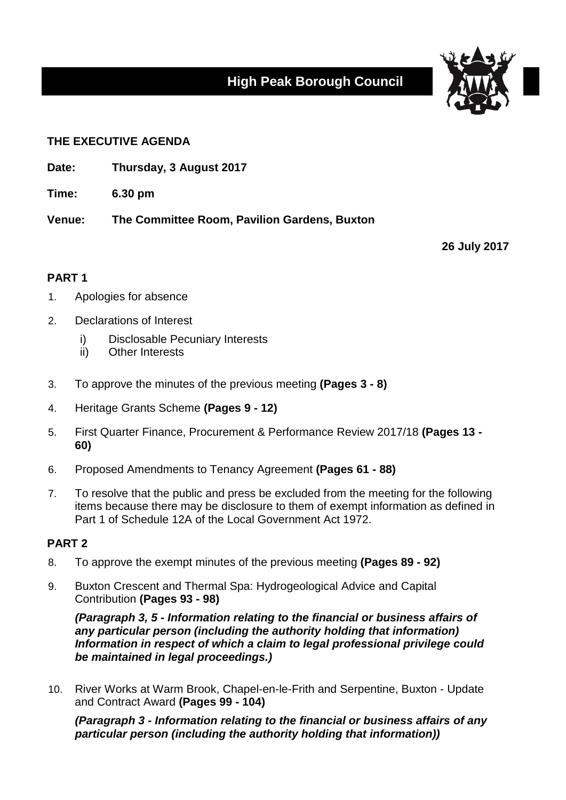# **High Peak Borough Council**



### **THE EXECUTIVE AGENDA**

- **Date: Thursday, 3 August 2017**
- **Time: 6.30 pm**

**Venue: The Committee Room, Pavilion Gardens, Buxton**

**26 July 2017**

## **PART 1**

- 1. Apologies for absence
- 2. Declarations of Interest
	- i) Disclosable Pecuniary Interests
	- ii) Other Interests
- 3. To approve the minutes of the previous meeting **(Pages 3 - 8)**
- 4. Heritage Grants Scheme **(Pages 9 - 12)**
- 5. First Quarter Finance, Procurement & Performance Review 2017/18 **(Pages 13 - 60)**
- 6. Proposed Amendments to Tenancy Agreement **(Pages 61 - 88)**
- 7. To resolve that the public and press be excluded from the meeting for the following items because there may be disclosure to them of exempt information as defined in Part 1 of Schedule 12A of the Local Government Act 1972.

#### **PART 2**

- 8. To approve the exempt minutes of the previous meeting **(Pages 89 - 92)**
- 9. Buxton Crescent and Thermal Spa: Hydrogeological Advice and Capital Contribution **(Pages 93 - 98)**

*(Paragraph 3, 5 - Information relating to the financial or business affairs of any particular person (including the authority holding that information) Information in respect of which a claim to legal professional privilege could be maintained in legal proceedings.)*

10. River Works at Warm Brook, Chapel-en-le-Frith and Serpentine, Buxton - Update and Contract Award **(Pages 99 - 104)**

*(Paragraph 3 - Information relating to the financial or business affairs of any particular person (including the authority holding that information))*